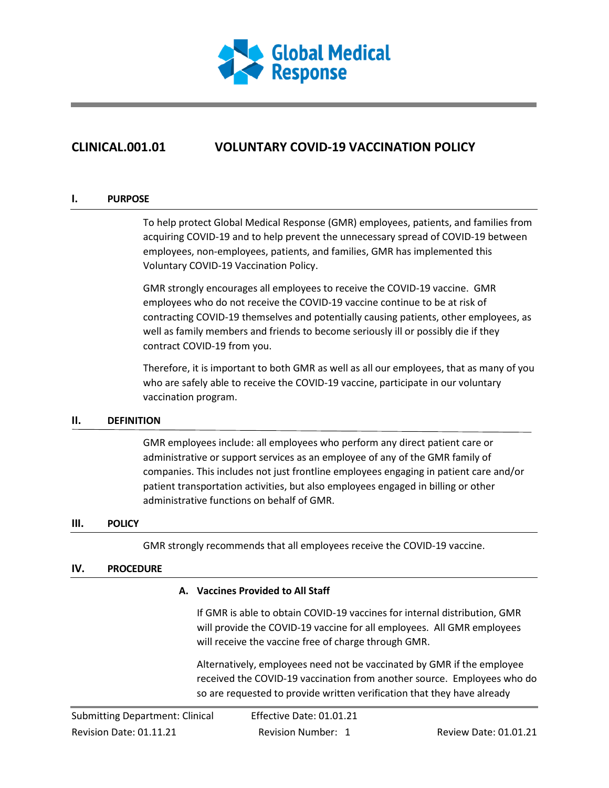

# **CLINICAL.001.01 VOLUNTARY COVID-19 VACCINATION POLICY**

#### **I. PURPOSE**

To help protect Global Medical Response (GMR) employees, patients, and families from acquiring COVID-19 and to help prevent the unnecessary spread of COVID-19 between employees, non-employees, patients, and families, GMR has implemented this Voluntary COVID-19 Vaccination Policy.

GMR strongly encourages all employees to receive the COVID-19 vaccine. GMR employees who do not receive the COVID-19 vaccine continue to be at risk of contracting COVID-19 themselves and potentially causing patients, other employees, as well as family members and friends to become seriously ill or possibly die if they contract COVID-19 from you.

Therefore, it is important to both GMR as well as all our employees, that as many of you who are safely able to receive the COVID-19 vaccine, participate in our voluntary vaccination program.

### **II. DEFINITION**

GMR employees include: all employees who perform any direct patient care or administrative or support services as an employee of any of the GMR family of companies. This includes not just frontline employees engaging in patient care and/or patient transportation activities, but also employees engaged in billing or other administrative functions on behalf of GMR.

#### **III. POLICY**

GMR strongly recommends that all employees receive the COVID-19 vaccine.

# **IV. PROCEDURE**

### **A. Vaccines Provided to All Staff**

If GMR is able to obtain COVID-19 vaccines for internal distribution, GMR will provide the COVID-19 vaccine for all employees. All GMR employees will receive the vaccine free of charge through GMR.

Alternatively, employees need not be vaccinated by GMR if the employee received the COVID-19 vaccination from another source. Employees who do so are requested to provide written verification that they have already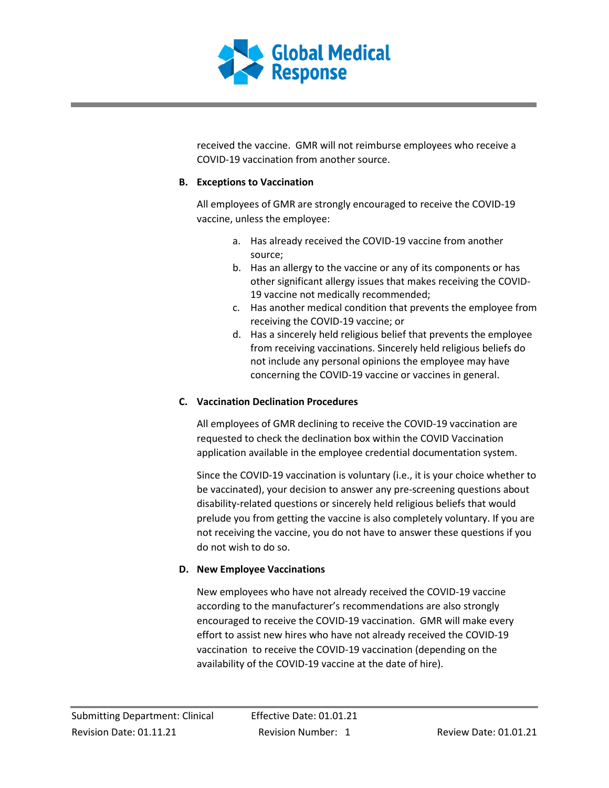

received the vaccine. GMR will not reimburse employees who receive a COVID-19 vaccination from another source.

# **B. Exceptions to Vaccination**

All employees of GMR are strongly encouraged to receive the COVID-19 vaccine, unless the employee:

- a. Has already received the COVID-19 vaccine from another source;
- b. Has an allergy to the vaccine or any of its components or has other significant allergy issues that makes receiving the COVID-19 vaccine not medically recommended;
- c. Has another medical condition that prevents the employee from receiving the COVID-19 vaccine; or
- d. Has a sincerely held religious belief that prevents the employee from receiving vaccinations. Sincerely held religious beliefs do not include any personal opinions the employee may have concerning the COVID-19 vaccine or vaccines in general.

# **C. Vaccination Declination Procedures**

All employees of GMR declining to receive the COVID-19 vaccination are requested to check the declination box within the COVID Vaccination application available in the employee credential documentation system.

Since the COVID-19 vaccination is voluntary (i.e., it is your choice whether to be vaccinated), your decision to answer any pre-screening questions about disability-related questions or sincerely held religious beliefs that would prelude you from getting the vaccine is also completely voluntary. If you are not receiving the vaccine, you do not have to answer these questions if you do not wish to do so.

# **D. New Employee Vaccinations**

New employees who have not already received the COVID-19 vaccine according to the manufacturer's recommendations are also strongly encouraged to receive the COVID-19 vaccination. GMR will make every effort to assist new hires who have not already received the COVID-19 vaccination to receive the COVID-19 vaccination (depending on the availability of the COVID-19 vaccine at the date of hire).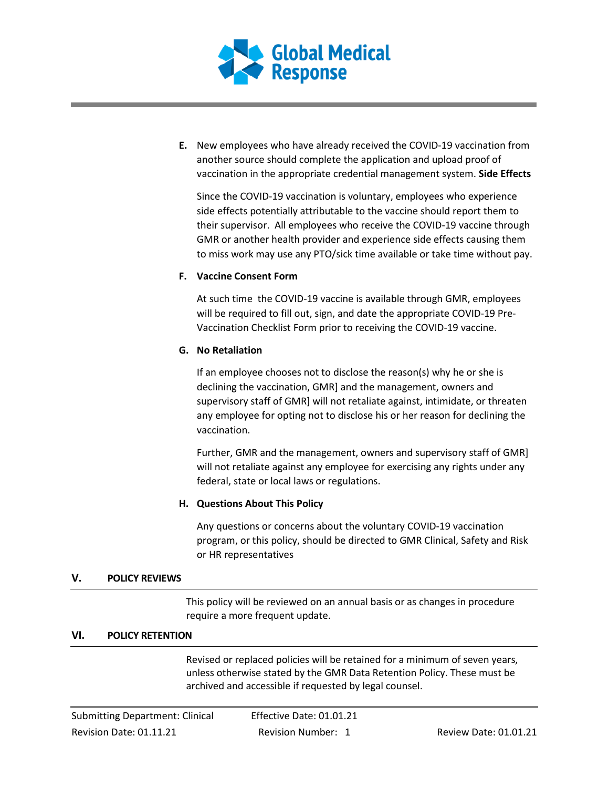

**E.** New employees who have already received the COVID-19 vaccination from another source should complete the application and upload proof of vaccination in the appropriate credential management system. **Side Effects**

Since the COVID-19 vaccination is voluntary, employees who experience side effects potentially attributable to the vaccine should report them to their supervisor. All employees who receive the COVID-19 vaccine through GMR or another health provider and experience side effects causing them to miss work may use any PTO/sick time available or take time without pay.

# **F. Vaccine Consent Form**

At such time the COVID-19 vaccine is available through GMR, employees will be required to fill out, sign, and date the appropriate COVID-19 Pre-Vaccination Checklist Form prior to receiving the COVID-19 vaccine.

# **G. No Retaliation**

If an employee chooses not to disclose the reason(s) why he or she is declining the vaccination, GMR] and the management, owners and supervisory staff of GMR] will not retaliate against, intimidate, or threaten any employee for opting not to disclose his or her reason for declining the vaccination.

Further, GMR and the management, owners and supervisory staff of GMR] will not retaliate against any employee for exercising any rights under any federal, state or local laws or regulations.

# **H. Questions About This Policy**

Any questions or concerns about the voluntary COVID-19 vaccination program, or this policy, should be directed to GMR Clinical, Safety and Risk or HR representatives

### **V. POLICY REVIEWS**

This policy will be reviewed on an annual basis or as changes in procedure require a more frequent update.

### **VI. POLICY RETENTION**

Revised or replaced policies will be retained for a minimum of seven years, unless otherwise stated by the GMR Data Retention Policy. These must be archived and accessible if requested by legal counsel.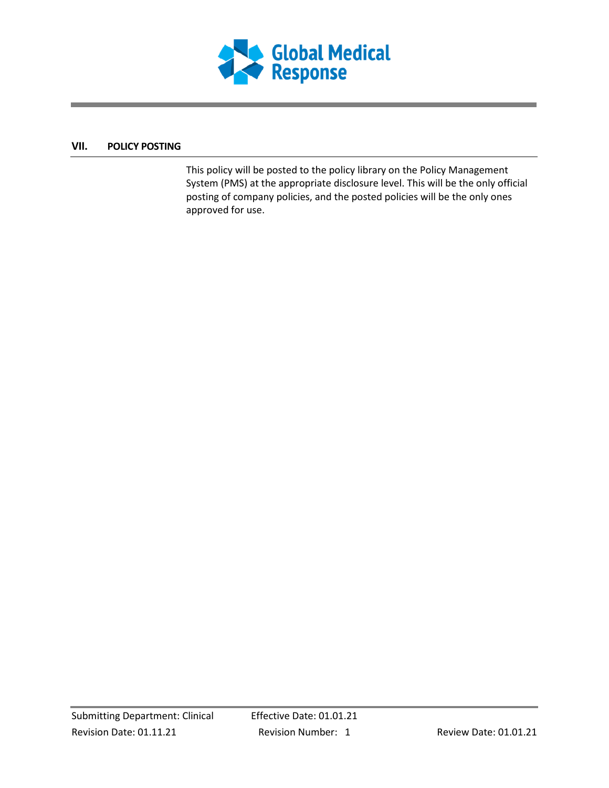

# **VII. POLICY POSTING**

This policy will be posted to the policy library on the Policy Management System (PMS) at the appropriate disclosure level. This will be the only official posting of company policies, and the posted policies will be the only ones approved for use.